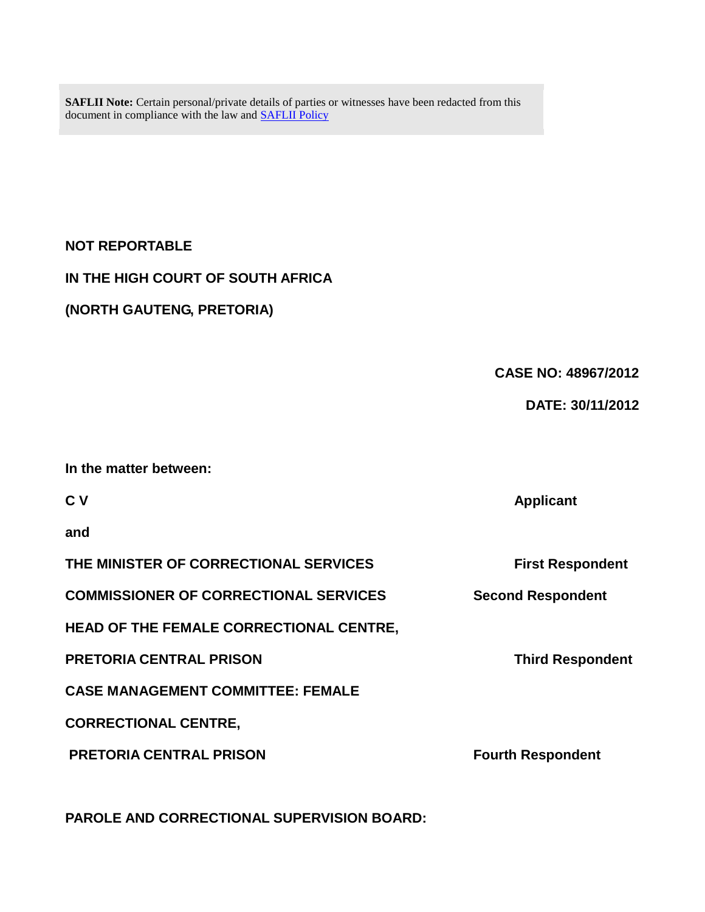**SAFLII Note:** Certain personal/private details of parties or witnesses have been redacted from this document in compliance with the law and [SAFLII Policy](http://www.saflii.org/content/terms-use)

## **NOT REPORTABLE**

## **IN THE HIGH COURT OF SOUTH AFRICA**

## **(NORTH GAUTENG, PRETORIA)**

# **CASE NO: 48967/2012**

**C V Applicant**

## **DATE: 30/11/2012**

## **In the matter between:**

**and**

| THE MINISTER OF CORRECTIONAL SERVICES<br><b>COMMISSIONER OF CORRECTIONAL SERVICES</b><br><b>HEAD OF THE FEMALE CORRECTIONAL CENTRE,</b> | <b>First Respondent</b><br><b>Second Respondent</b> |                                |                         |
|-----------------------------------------------------------------------------------------------------------------------------------------|-----------------------------------------------------|--------------------------------|-------------------------|
|                                                                                                                                         |                                                     | <b>PRETORIA CENTRAL PRISON</b> | <b>Third Respondent</b> |

**CASE MANAGEMENT COMMITTEE: FEMALE**

**CORRECTIONAL CENTRE,**

**PRETORIA CENTRAL PRISON FOUTH Respondent** 

**PAROLE AND CORRECTIONAL SUPERVISION BOARD:**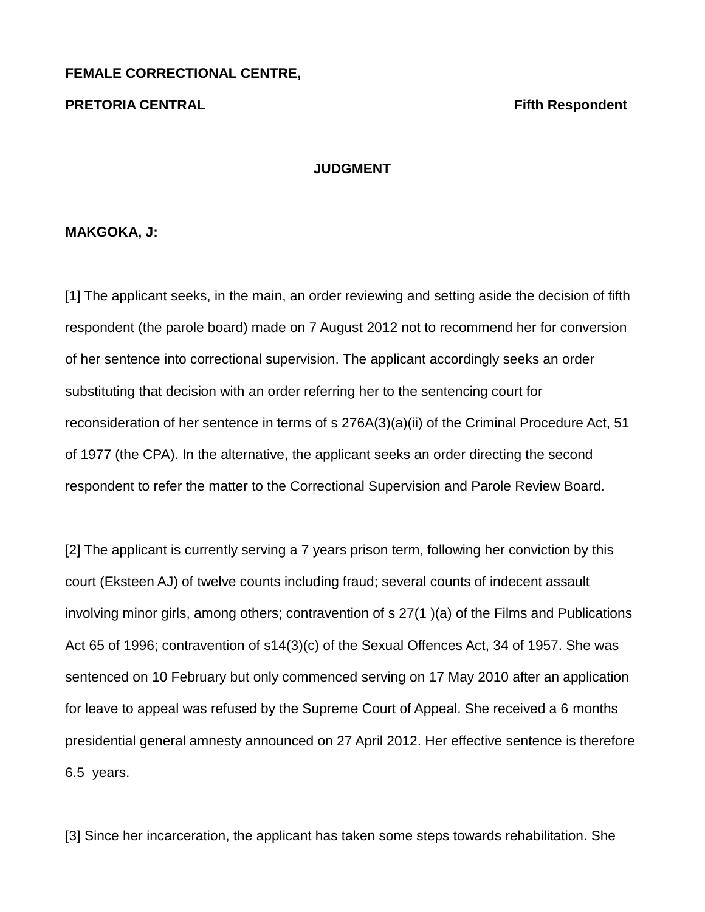#### **FEMALE CORRECTIONAL CENTRE,**

#### **PRETORIA CENTRAL Fifth Respondent**

#### **JUDGMENT**

#### **MAKGOKA, J:**

[1] The applicant seeks, in the main, an order reviewing and setting aside the decision of fifth respondent (the parole board) made on 7 August 2012 not to recommend her for conversion of her sentence into correctional supervision. The applicant accordingly seeks an order substituting that decision with an order referring her to the sentencing court for reconsideration of her sentence in terms of s 276A(3)(a)(ii) of the Criminal Procedure Act, 51 of 1977 (the CPA). In the alternative, the applicant seeks an order directing the second respondent to refer the matter to the Correctional Supervision and Parole Review Board.

[2] The applicant is currently serving a 7 years prison term, following her conviction by this court (Eksteen AJ) of twelve counts including fraud; several counts of indecent assault involving minor girls, among others; contravention of s 27(1 )(a) of the Films and Publications Act 65 of 1996; contravention of s14(3)(c) of the Sexual Offences Act, 34 of 1957. She was sentenced on 10 February but only commenced serving on 17 May 2010 after an application for leave to appeal was refused by the Supreme Court of Appeal. She received a 6 months presidential general amnesty announced on 27 April 2012. Her effective sentence is therefore 6.5 years.

[3] Since her incarceration, the applicant has taken some steps towards rehabilitation. She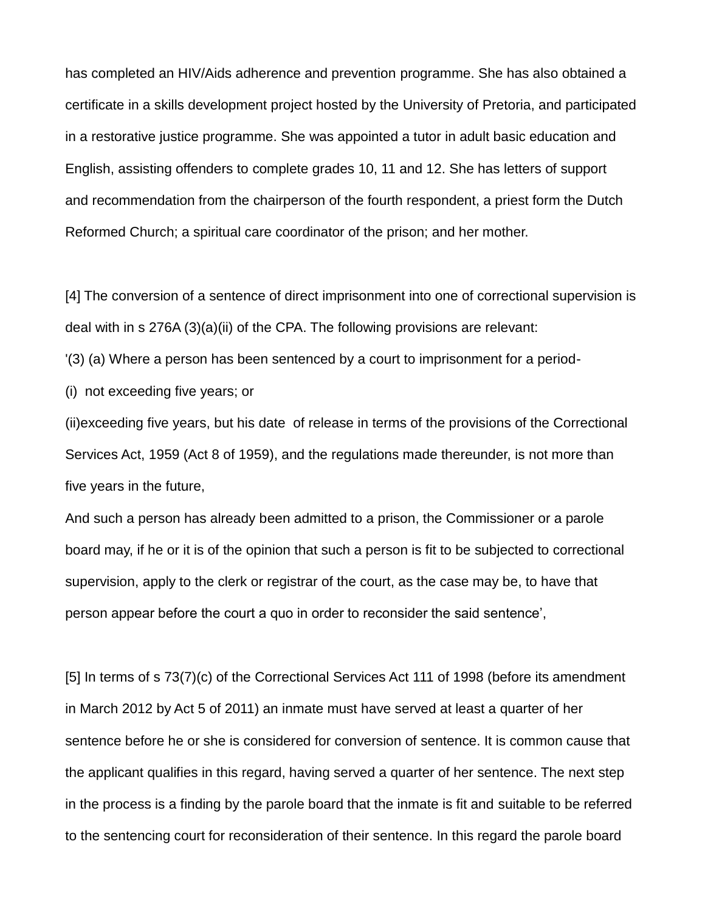has completed an HIV/Aids adherence and prevention programme. She has also obtained a certificate in a skills development project hosted by the University of Pretoria, and participated in a restorative justice programme. She was appointed a tutor in adult basic education and English, assisting offenders to complete grades 10, 11 and 12. She has letters of support and recommendation from the chairperson of the fourth respondent, a priest form the Dutch Reformed Church; a spiritual care coordinator of the prison; and her mother.

[4] The conversion of a sentence of direct imprisonment into one of correctional supervision is deal with in s 276A (3)(a)(ii) of the CPA. The following provisions are relevant:

'(3) (a) Where a person has been sentenced by a court to imprisonment for a period-

(i) not exceeding five years; or

(ii)exceeding five years, but his date of release in terms of the provisions of the Correctional Services Act, 1959 (Act 8 of 1959), and the regulations made thereunder, is not more than five years in the future,

And such a person has already been admitted to a prison, the Commissioner or a parole board may, if he or it is of the opinion that such a person is fit to be subjected to correctional supervision, apply to the clerk or registrar of the court, as the case may be, to have that person appear before the court a quo in order to reconsider the said sentence',

[5] In terms of s 73(7)(c) of the Correctional Services Act 111 of 1998 (before its amendment in March 2012 by Act 5 of 2011) an inmate must have served at least a quarter of her sentence before he or she is considered for conversion of sentence. It is common cause that the applicant qualifies in this regard, having served a quarter of her sentence. The next step in the process is a finding by the parole board that the inmate is fit and suitable to be referred to the sentencing court for reconsideration of their sentence. In this regard the parole board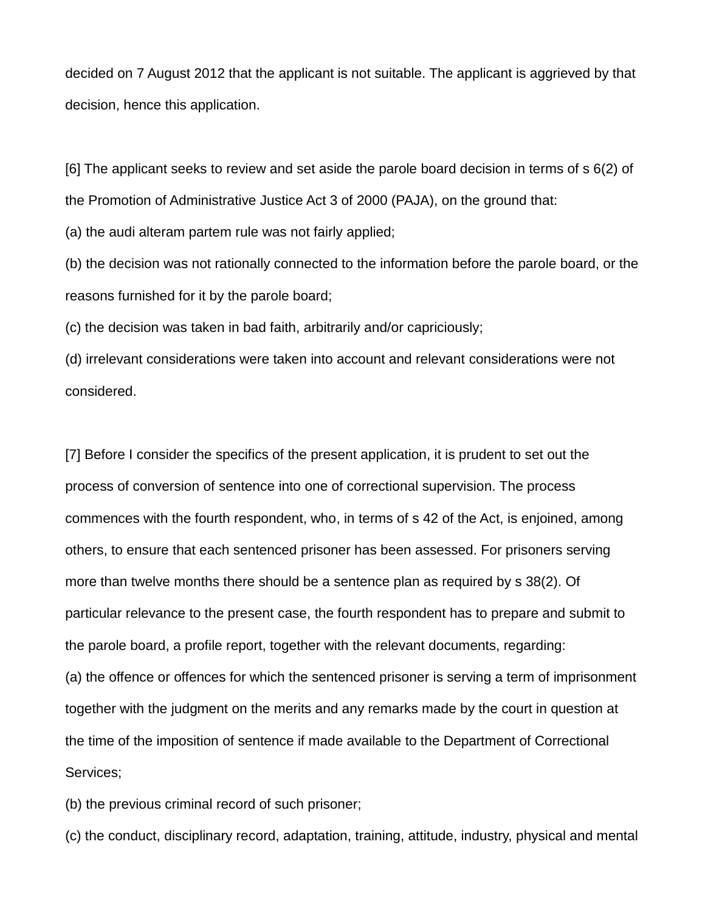decided on 7 August 2012 that the applicant is not suitable. The applicant is aggrieved by that decision, hence this application.

[6] The applicant seeks to review and set aside the parole board decision in terms of s 6(2) of the Promotion of Administrative Justice Act 3 of 2000 (PAJA), on the ground that:

(a) the audi alteram partem rule was not fairly applied;

(b) the decision was not rationally connected to the information before the parole board, or the reasons furnished for it by the parole board;

(c) the decision was taken in bad faith, arbitrarily and/or capriciously;

(d) irrelevant considerations were taken into account and relevant considerations were not considered.

[7] Before I consider the specifics of the present application, it is prudent to set out the process of conversion of sentence into one of correctional supervision. The process commences with the fourth respondent, who, in terms of s 42 of the Act, is enjoined, among others, to ensure that each sentenced prisoner has been assessed. For prisoners serving more than twelve months there should be a sentence plan as required by s 38(2). Of particular relevance to the present case, the fourth respondent has to prepare and submit to the parole board, a profile report, together with the relevant documents, regarding: (a) the offence or offences for which the sentenced prisoner is serving a term of imprisonment together with the judgment on the merits and any remarks made by the court in question at the time of the imposition of sentence if made available to the Department of Correctional Services;

(b) the previous criminal record of such prisoner;

(c) the conduct, disciplinary record, adaptation, training, attitude, industry, physical and mental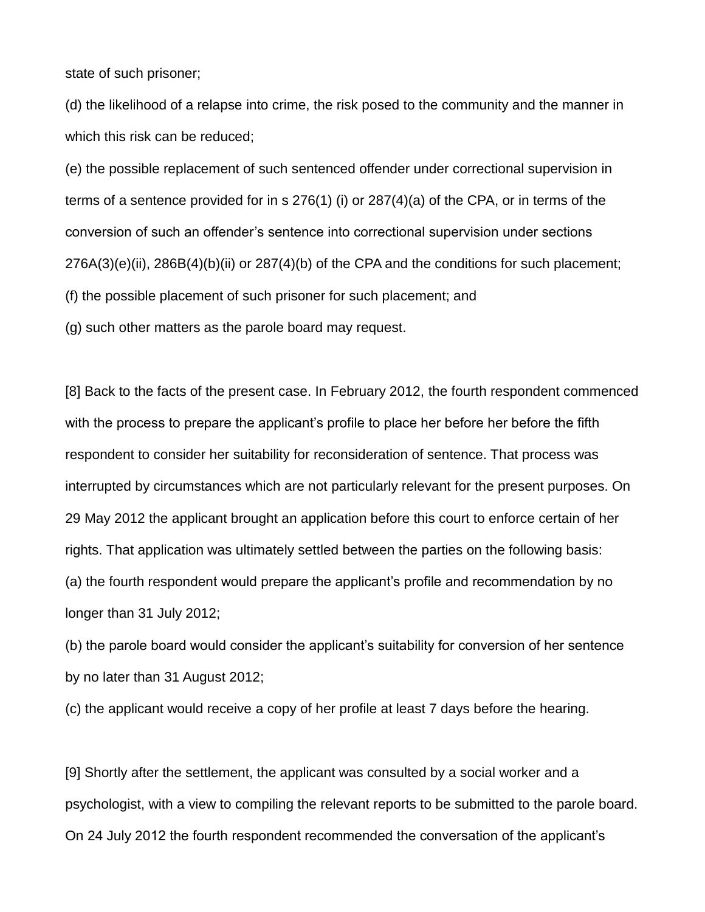state of such prisoner;

(d) the likelihood of a relapse into crime, the risk posed to the community and the manner in which this risk can be reduced;

(e) the possible replacement of such sentenced offender under correctional supervision in terms of a sentence provided for in s 276(1) (i) or 287(4)(a) of the CPA, or in terms of the conversion of such an offender's sentence into correctional supervision under sections 276A(3)(e)(ii), 286B(4)(b)(ii) or 287(4)(b) of the CPA and the conditions for such placement; (f) the possible placement of such prisoner for such placement; and

(g) such other matters as the parole board may request.

[8] Back to the facts of the present case. In February 2012, the fourth respondent commenced with the process to prepare the applicant's profile to place her before her before the fifth respondent to consider her suitability for reconsideration of sentence. That process was interrupted by circumstances which are not particularly relevant for the present purposes. On 29 May 2012 the applicant brought an application before this court to enforce certain of her rights. That application was ultimately settled between the parties on the following basis: (a) the fourth respondent would prepare the applicant's profile and recommendation by no longer than 31 July 2012;

(b) the parole board would consider the applicant's suitability for conversion of her sentence by no later than 31 August 2012;

(c) the applicant would receive a copy of her profile at least 7 days before the hearing.

[9] Shortly after the settlement, the applicant was consulted by a social worker and a psychologist, with a view to compiling the relevant reports to be submitted to the parole board. On 24 July 2012 the fourth respondent recommended the conversation of the applicant's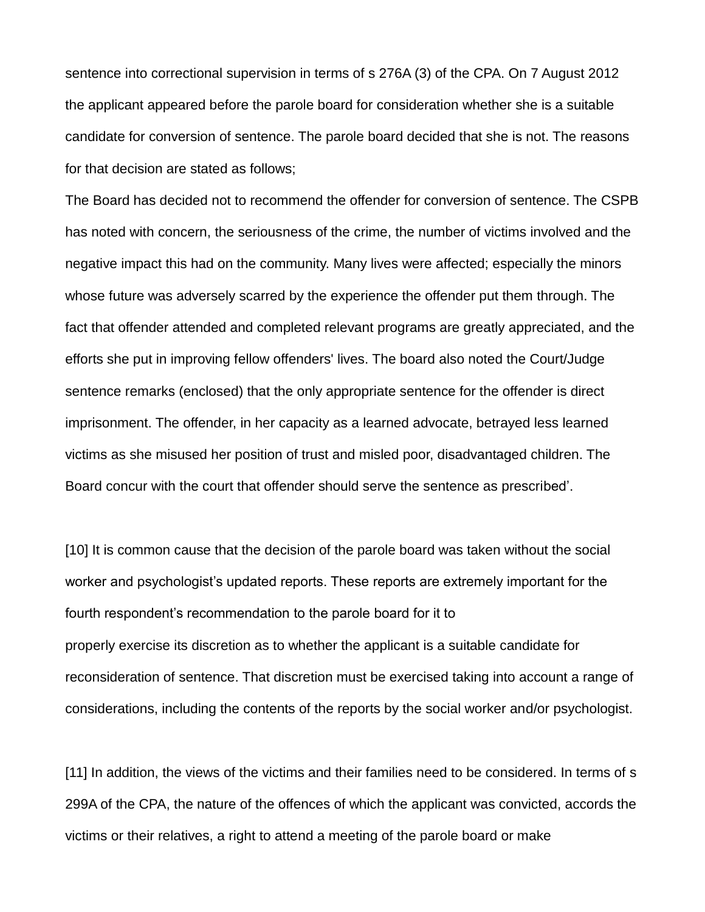sentence into correctional supervision in terms of s 276A (3) of the CPA. On 7 August 2012 the applicant appeared before the parole board for consideration whether she is a suitable candidate for conversion of sentence. The parole board decided that she is not. The reasons for that decision are stated as follows;

The Board has decided not to recommend the offender for conversion of sentence. The CSPB has noted with concern, the seriousness of the crime, the number of victims involved and the negative impact this had on the community. Many lives were affected; especially the minors whose future was adversely scarred by the experience the offender put them through. The fact that offender attended and completed relevant programs are greatly appreciated, and the efforts she put in improving fellow offenders' lives. The board also noted the Court/Judge sentence remarks (enclosed) that the only appropriate sentence for the offender is direct imprisonment. The offender, in her capacity as a learned advocate, betrayed less learned victims as she misused her position of trust and misled poor, disadvantaged children. The Board concur with the court that offender should serve the sentence as prescribed'.

[10] It is common cause that the decision of the parole board was taken without the social worker and psychologist's updated reports. These reports are extremely important for the fourth respondent's recommendation to the parole board for it to properly exercise its discretion as to whether the applicant is a suitable candidate for reconsideration of sentence. That discretion must be exercised taking into account a range of considerations, including the contents of the reports by the social worker and/or psychologist.

[11] In addition, the views of the victims and their families need to be considered. In terms of s 299A of the CPA, the nature of the offences of which the applicant was convicted, accords the victims or their relatives, a right to attend a meeting of the parole board or make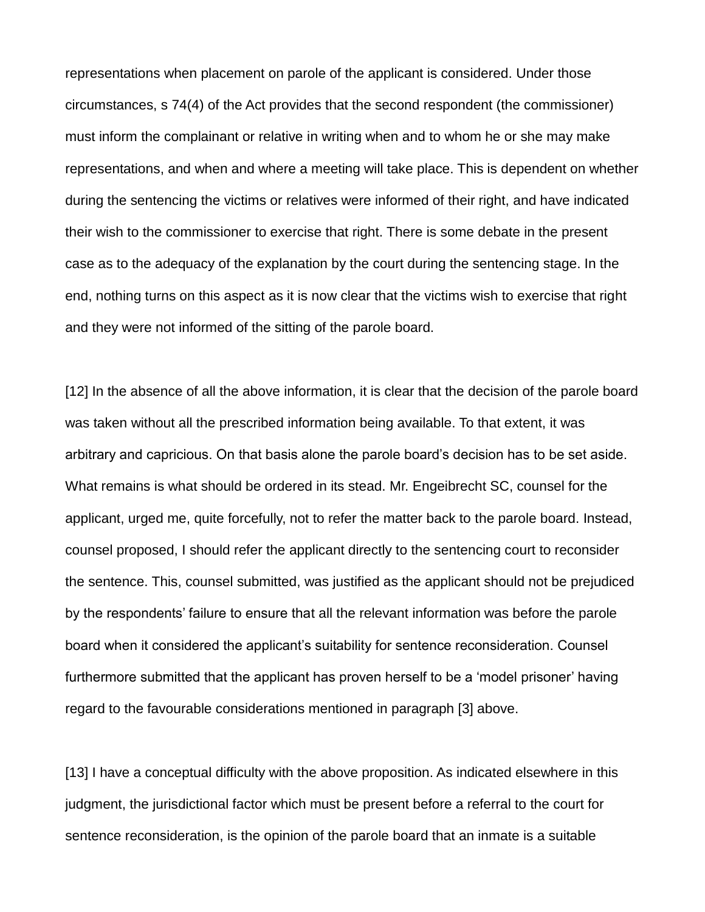representations when placement on parole of the applicant is considered. Under those circumstances, s 74(4) of the Act provides that the second respondent (the commissioner) must inform the complainant or relative in writing when and to whom he or she may make representations, and when and where a meeting will take place. This is dependent on whether during the sentencing the victims or relatives were informed of their right, and have indicated their wish to the commissioner to exercise that right. There is some debate in the present case as to the adequacy of the explanation by the court during the sentencing stage. In the end, nothing turns on this aspect as it is now clear that the victims wish to exercise that right and they were not informed of the sitting of the parole board.

[12] In the absence of all the above information, it is clear that the decision of the parole board was taken without all the prescribed information being available. To that extent, it was arbitrary and capricious. On that basis alone the parole board's decision has to be set aside. What remains is what should be ordered in its stead. Mr. Engeibrecht SC, counsel for the applicant, urged me, quite forcefully, not to refer the matter back to the parole board. Instead, counsel proposed, I should refer the applicant directly to the sentencing court to reconsider the sentence. This, counsel submitted, was justified as the applicant should not be prejudiced by the respondents' failure to ensure that all the relevant information was before the parole board when it considered the applicant's suitability for sentence reconsideration. Counsel furthermore submitted that the applicant has proven herself to be a 'model prisoner' having regard to the favourable considerations mentioned in paragraph [3] above.

[13] I have a conceptual difficulty with the above proposition. As indicated elsewhere in this judgment, the jurisdictional factor which must be present before a referral to the court for sentence reconsideration, is the opinion of the parole board that an inmate is a suitable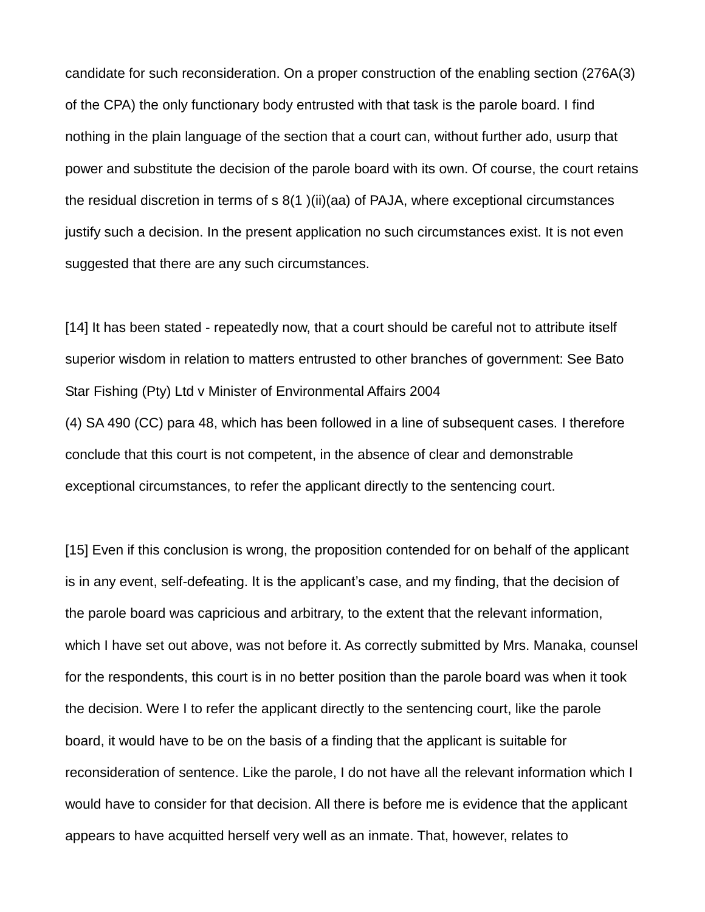candidate for such reconsideration. On a proper construction of the enabling section (276A(3) of the CPA) the only functionary body entrusted with that task is the parole board. I find nothing in the plain language of the section that a court can, without further ado, usurp that power and substitute the decision of the parole board with its own. Of course, the court retains the residual discretion in terms of s 8(1 )(ii)(aa) of PAJA, where exceptional circumstances justify such a decision. In the present application no such circumstances exist. It is not even suggested that there are any such circumstances.

[14] It has been stated - repeatedly now, that a court should be careful not to attribute itself superior wisdom in relation to matters entrusted to other branches of government: See Bato Star Fishing (Pty) Ltd v Minister of Environmental Affairs 2004

(4) SA 490 (CC) para 48, which has been followed in a line of subsequent cases. I therefore conclude that this court is not competent, in the absence of clear and demonstrable exceptional circumstances, to refer the applicant directly to the sentencing court.

[15] Even if this conclusion is wrong, the proposition contended for on behalf of the applicant is in any event, self-defeating. It is the applicant's case, and my finding, that the decision of the parole board was capricious and arbitrary, to the extent that the relevant information, which I have set out above, was not before it. As correctly submitted by Mrs. Manaka, counsel for the respondents, this court is in no better position than the parole board was when it took the decision. Were I to refer the applicant directly to the sentencing court, like the parole board, it would have to be on the basis of a finding that the applicant is suitable for reconsideration of sentence. Like the parole, I do not have all the relevant information which I would have to consider for that decision. All there is before me is evidence that the applicant appears to have acquitted herself very well as an inmate. That, however, relates to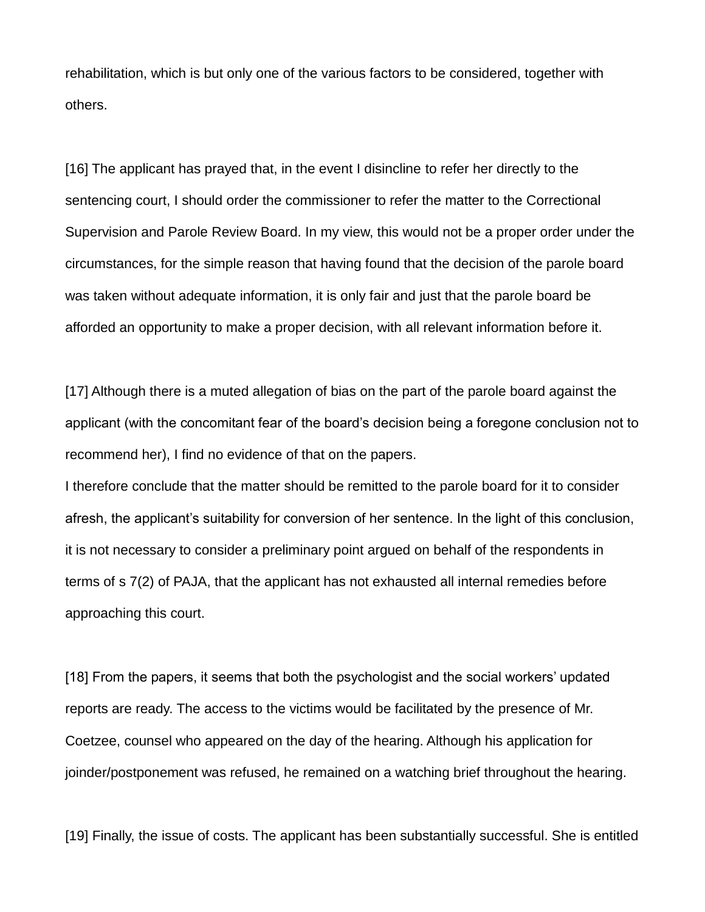rehabilitation, which is but only one of the various factors to be considered, together with others.

[16] The applicant has prayed that, in the event I disincline to refer her directly to the sentencing court, I should order the commissioner to refer the matter to the Correctional Supervision and Parole Review Board. In my view, this would not be a proper order under the circumstances, for the simple reason that having found that the decision of the parole board was taken without adequate information, it is only fair and just that the parole board be afforded an opportunity to make a proper decision, with all relevant information before it.

[17] Although there is a muted allegation of bias on the part of the parole board against the applicant (with the concomitant fear of the board's decision being a foregone conclusion not to recommend her), I find no evidence of that on the papers.

I therefore conclude that the matter should be remitted to the parole board for it to consider afresh, the applicant's suitability for conversion of her sentence. In the light of this conclusion, it is not necessary to consider a preliminary point argued on behalf of the respondents in terms of s 7(2) of PAJA, that the applicant has not exhausted all internal remedies before approaching this court.

[18] From the papers, it seems that both the psychologist and the social workers' updated reports are ready. The access to the victims would be facilitated by the presence of Mr. Coetzee, counsel who appeared on the day of the hearing. Although his application for joinder/postponement was refused, he remained on a watching brief throughout the hearing.

[19] Finally, the issue of costs. The applicant has been substantially successful. She is entitled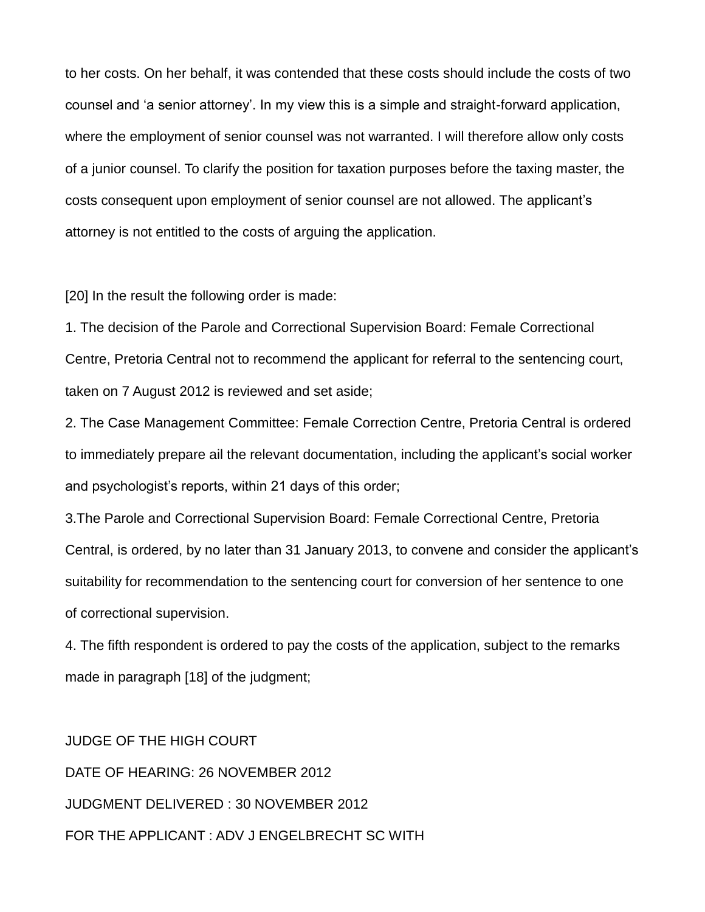to her costs. On her behalf, it was contended that these costs should include the costs of two counsel and 'a senior attorney'. In my view this is a simple and straight-forward application, where the employment of senior counsel was not warranted. I will therefore allow only costs of a junior counsel. To clarify the position for taxation purposes before the taxing master, the costs consequent upon employment of senior counsel are not allowed. The applicant's attorney is not entitled to the costs of arguing the application.

[20] In the result the following order is made:

1. The decision of the Parole and Correctional Supervision Board: Female Correctional Centre, Pretoria Central not to recommend the applicant for referral to the sentencing court, taken on 7 August 2012 is reviewed and set aside;

2. The Case Management Committee: Female Correction Centre, Pretoria Central is ordered to immediately prepare ail the relevant documentation, including the applicant's social worker and psychologist's reports, within 21 days of this order;

3.The Parole and Correctional Supervision Board: Female Correctional Centre, Pretoria Central, is ordered, by no later than 31 January 2013, to convene and consider the applicant's suitability for recommendation to the sentencing court for conversion of her sentence to one of correctional supervision.

4. The fifth respondent is ordered to pay the costs of the application, subject to the remarks made in paragraph [18] of the judgment;

JUDGE OF THE HIGH COURT DATE OF HEARING: 26 NOVEMBER 2012 JUDGMENT DELIVERED : 30 NOVEMBER 2012 FOR THE APPLICANT : ADV J ENGELBRECHT SC WITH